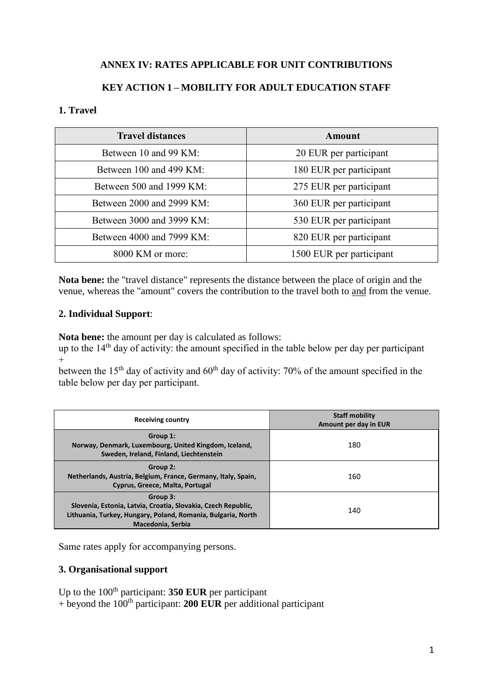# **ANNEX IV: RATES APPLICABLE FOR UNIT CONTRIBUTIONS**

# **KEY ACTION 1 – MOBILITY FOR ADULT EDUCATION STAFF**

#### **1. Travel**

| <b>Travel distances</b>   | Amount                   |
|---------------------------|--------------------------|
| Between 10 and 99 KM:     | 20 EUR per participant   |
| Between 100 and 499 KM:   | 180 EUR per participant  |
| Between 500 and 1999 KM:  | 275 EUR per participant  |
| Between 2000 and 2999 KM: | 360 EUR per participant  |
| Between 3000 and 3999 KM: | 530 EUR per participant  |
| Between 4000 and 7999 KM: | 820 EUR per participant  |
| 8000 KM or more:          | 1500 EUR per participant |

**Nota bene:** the "travel distance" represents the distance between the place of origin and the venue, whereas the "amount" covers the contribution to the travel both to and from the venue.

#### **2. Individual Support**:

**Nota bene:** the amount per day is calculated as follows:

up to the  $14<sup>th</sup>$  day of activity: the amount specified in the table below per day per participant  $+$ 

between the  $15<sup>th</sup>$  day of activity and  $60<sup>th</sup>$  day of activity: 70% of the amount specified in the table below per day per participant.

| Receiving country                                                                                                                                              | <b>Staff mobility</b><br>Amount per day in EUR |
|----------------------------------------------------------------------------------------------------------------------------------------------------------------|------------------------------------------------|
| Group 1:<br>Norway, Denmark, Luxembourg, United Kingdom, Iceland,<br>Sweden, Ireland, Finland, Liechtenstein                                                   | 180                                            |
| Group 2:<br>Netherlands, Austria, Belgium, France, Germany, Italy, Spain,<br>Cyprus, Greece, Malta, Portugal                                                   | 160                                            |
| Group 3:<br>Slovenia, Estonia, Latvia, Croatia, Slovakia, Czech Republic,<br>Lithuania, Turkey, Hungary, Poland, Romania, Bulgaria, North<br>Macedonia, Serbia | 140                                            |

Same rates apply for accompanying persons.

## **3. Organisational support**

Up to the 100<sup>th</sup> participant: **350 EUR** per participant  $+$  beyond the 100<sup>th</sup> participant: **200 EUR** per additional participant